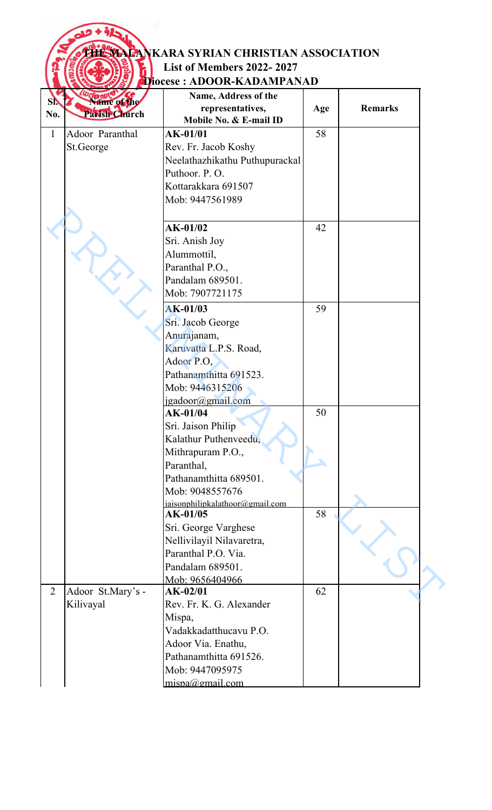## **THE MALANKARA SYRIAN CHRISTIAN ASSOCIATION List of Members 2022- 2027**

|                |                   | Diocese : ADOOR-KADAMPANAD                 |     |                |
|----------------|-------------------|--------------------------------------------|-----|----------------|
| SN.            | Name of the       | Name, Address of the                       |     |                |
| No.            | Parish Church     | representatives,<br>Mobile No. & E-mail ID | Age | <b>Remarks</b> |
| $\mathbf{1}$   | Adoor Paranthal   | $AK-01/01$                                 | 58  |                |
|                | St.George         | Rev. Fr. Jacob Koshy                       |     |                |
|                |                   | Neelathazhikathu Puthupurackal             |     |                |
|                |                   | Puthoor. P.O.                              |     |                |
|                |                   | Kottarakkara 691507                        |     |                |
|                |                   | Mob: 9447561989                            |     |                |
|                |                   |                                            |     |                |
|                |                   | $AK-01/02$                                 | 42  |                |
|                |                   | Sri. Anish Joy                             |     |                |
|                |                   | Alummottil,                                |     |                |
|                |                   | Paranthal P.O.,                            |     |                |
|                |                   | Pandalam 689501.                           |     |                |
|                |                   | Mob: 7907721175                            |     |                |
|                |                   | AK-01/03                                   | 59  |                |
|                |                   | Sri. Jacob George                          |     |                |
|                |                   | Anurajanam,                                |     |                |
|                |                   | Karuvatta L.P.S. Road,                     |     |                |
|                |                   | Adoor P.O.                                 |     |                |
|                |                   | Pathanamthitta 691523.                     |     |                |
|                |                   | Mob: 9446315206                            |     |                |
|                |                   | jgadoor@gmail.com                          |     |                |
|                |                   | AK-01/04                                   | 50  |                |
|                |                   | Sri. Jaison Philip                         |     |                |
|                |                   | Kalathur Puthenveedu,                      |     |                |
|                |                   | Mithrapuram P.O.,                          |     |                |
|                |                   | Paranthal,                                 |     |                |
|                |                   | Pathanamthitta 689501.                     |     |                |
|                |                   | Mob: 9048557676                            |     |                |
|                |                   | jaisonphilipkalathoor@gmail.com            |     |                |
|                |                   | AK-01/05                                   | 58  |                |
|                |                   | Sri. George Varghese                       |     |                |
|                |                   | Nellivilayil Nilavaretra,                  |     |                |
|                |                   | Paranthal P.O. Via.                        |     |                |
|                |                   | Pandalam 689501.                           |     |                |
|                |                   | Mob: 9656404966                            |     |                |
| $\overline{2}$ | Adoor St.Mary's - | $AK-02/01$                                 | 62  |                |
|                | Kilivayal         | Rev. Fr. K. G. Alexander                   |     |                |
|                |                   | Mispa,                                     |     |                |
|                |                   | Vadakkadatthucavu P.O.                     |     |                |
|                |                   | Adoor Via. Enathu,                         |     |                |
|                |                   | Pathanamthitta 691526.                     |     |                |
|                |                   | Mob: 9447095975                            |     |                |
|                |                   | mispa@gmail.com                            |     |                |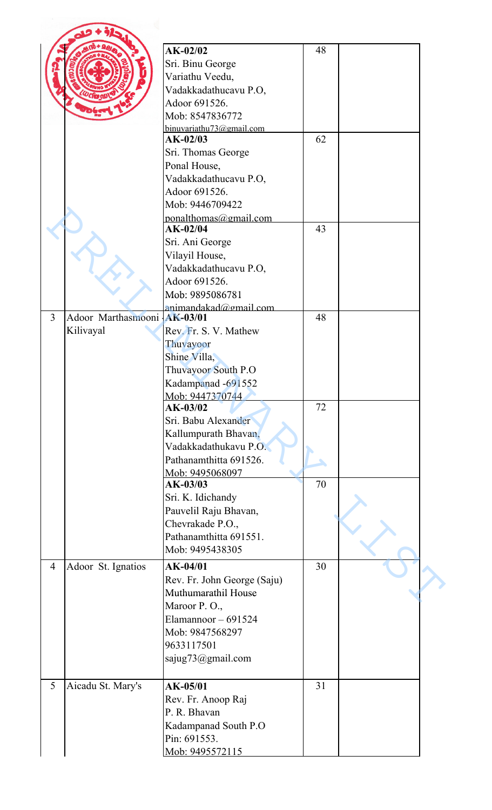|                |                    | $AK-02/02$                  | 48 |  |
|----------------|--------------------|-----------------------------|----|--|
|                |                    |                             |    |  |
|                |                    | Sri. Binu George            |    |  |
|                |                    | Variathu Veedu,             |    |  |
|                |                    | Vadakkadathucavu P.O,       |    |  |
|                |                    | Adoor 691526.               |    |  |
|                |                    | Mob: 8547836772             |    |  |
|                |                    | binuvariathu73@gmail.com    |    |  |
|                |                    | AK-02/03                    | 62 |  |
|                |                    | Sri. Thomas George          |    |  |
|                |                    | Ponal House,                |    |  |
|                |                    | Vadakkadathucavu P.O,       |    |  |
|                |                    | Adoor 691526.               |    |  |
|                |                    | Mob: 9446709422             |    |  |
|                |                    | ponalthomas@gmail.com       |    |  |
|                |                    | $AK-02/04$                  | 43 |  |
|                |                    | Sri. Ani George             |    |  |
|                |                    | Vilayil House,              |    |  |
|                |                    | Vadakkadathucavu P.O,       |    |  |
|                |                    | Adoor 691526.               |    |  |
|                |                    | Mob: 9895086781             |    |  |
|                |                    | animandakad@gmail.com       |    |  |
| $\overline{3}$ | Adoor Marthasmooni | AK-03/01                    | 48 |  |
|                | Kilivayal          | Rev. Fr. S. V. Mathew       |    |  |
|                |                    | Thuvayoor                   |    |  |
|                |                    | Shine Villa,                |    |  |
|                |                    | Thuvayoor South P.O         |    |  |
|                |                    | Kadampanad -691552          |    |  |
|                |                    | Mob: 9447370744             |    |  |
|                |                    | AK-03/02                    | 72 |  |
|                |                    | Sri. Babu Alexander         |    |  |
|                |                    | Kallumpurath Bhavan,        |    |  |
|                |                    | Vadakkadathukavu P.O.       |    |  |
|                |                    | Pathanamthitta 691526.      |    |  |
|                |                    |                             |    |  |
|                |                    | Mob: 9495068097<br>AK-03/03 | 70 |  |
|                |                    |                             |    |  |
|                |                    | Sri. K. Idichandy           |    |  |
|                |                    | Pauvelil Raju Bhavan,       |    |  |
|                |                    | Chevrakade P.O.,            |    |  |
|                |                    | Pathanamthitta 691551.      |    |  |
|                |                    | Mob: 9495438305             |    |  |
| $\overline{4}$ | Adoor St. Ignatios | AK-04/01                    | 30 |  |
|                |                    | Rev. Fr. John George (Saju) |    |  |
|                |                    | Muthumarathil House         |    |  |
|                |                    | Maroor P.O.,                |    |  |
|                |                    | Elamannoor $-691524$        |    |  |
|                |                    | Mob: 9847568297             |    |  |
|                |                    | 9633117501                  |    |  |
|                |                    |                             |    |  |
|                |                    | sajug73@gmail.com           |    |  |
|                |                    |                             |    |  |
| 5              | Aicadu St. Mary's  | AK-05/01                    | 31 |  |
|                |                    | Rev. Fr. Anoop Raj          |    |  |
|                |                    | P. R. Bhavan                |    |  |
|                |                    | Kadampanad South P.O        |    |  |
|                |                    | Pin: 691553.                |    |  |
|                |                    | Mob: 9495572115             |    |  |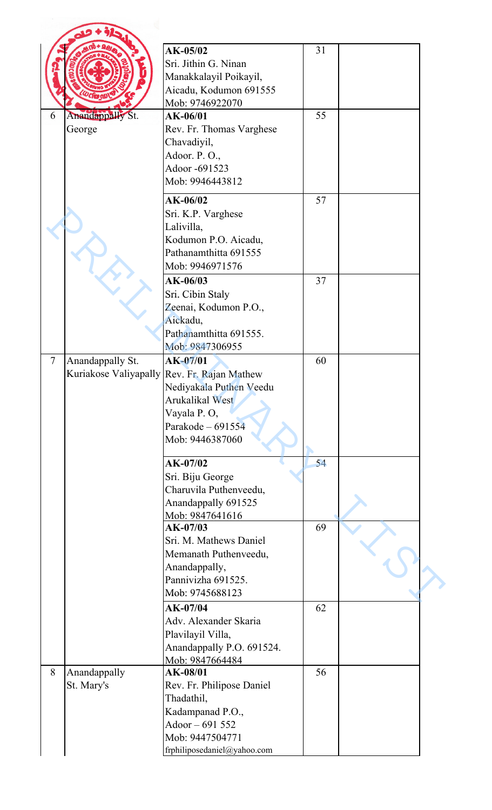|                |                            | AK-05/02<br>Sri. Jithin G. Ninan<br>Manakkalayil Poikayil,<br>Aicadu, Kodumon 691555<br>Mob: 9746922070                                          | 31 |  |
|----------------|----------------------------|--------------------------------------------------------------------------------------------------------------------------------------------------|----|--|
| 6              | Anandappally St.<br>George | AK-06/01<br>Rev. Fr. Thomas Varghese                                                                                                             | 55 |  |
|                |                            | Chavadiyil,<br>Adoor. P.O.,<br>Adoor -691523<br>Mob: 9946443812                                                                                  |    |  |
|                |                            | AK-06/02<br>Sri. K.P. Varghese<br>Lalivilla,<br>Kodumon P.O. Aicadu,                                                                             | 57 |  |
|                |                            | Pathanamthitta 691555<br>Mob: 9946971576                                                                                                         |    |  |
|                |                            | $AK-06/03$<br>Sri. Cibin Staly<br>Zeenai, Kodumon P.O.,<br>Aickadu,<br>Pathanamthitta 691555.                                                    | 37 |  |
| $\overline{7}$ |                            | Mob: 9847306955<br>$AK-07/01$                                                                                                                    | 60 |  |
|                | Anandappally St.           | Kuriakose Valiyapally Rev. Fr. Rajan Mathew<br>Nediyakala Puthen Veedu<br>Arukalikal West<br>Vayala P.O,<br>Parakode - 691554<br>Mob: 9446387060 |    |  |
|                |                            | $AK-07/02$<br>Sri. Biju George<br>Charuvila Puthenveedu,<br>Anandappally 691525                                                                  | 54 |  |
|                |                            | Mob: 9847641616<br>$AK-07/03$                                                                                                                    | 69 |  |
|                |                            | Sri. M. Mathews Daniel<br>Memanath Puthenveedu,<br>Anandappally,<br>Pannivizha 691525.                                                           |    |  |
|                |                            | Mob: 9745688123                                                                                                                                  |    |  |
|                |                            | AK-07/04<br>Adv. Alexander Skaria<br>Plavilayil Villa,<br>Anandappally P.O. 691524.                                                              | 62 |  |
|                |                            | Mob: 9847664484                                                                                                                                  |    |  |
| 8              | Anandappally<br>St. Mary's | AK-08/01<br>Rev. Fr. Philipose Daniel<br>Thadathil,<br>Kadampanad P.O.,                                                                          | 56 |  |
|                |                            | Adoor - 691 552<br>Mob: 9447504771<br>frphiliposedaniel@yahoo.com                                                                                |    |  |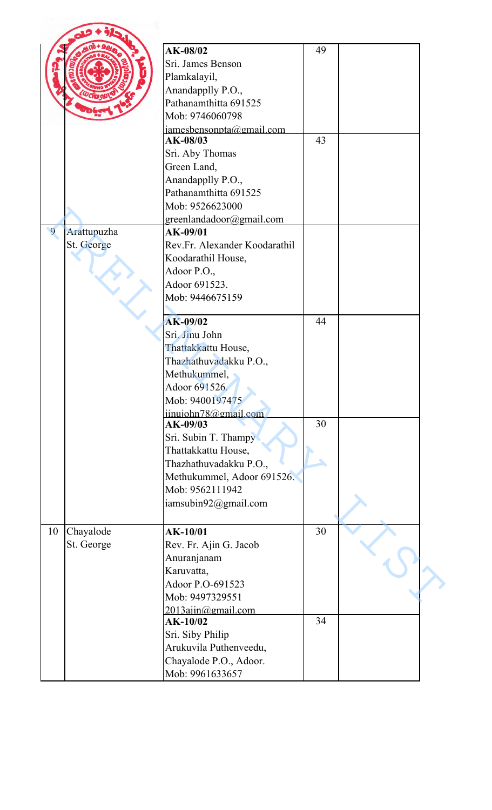|                |             | AK-08/02                      | 49 |  |
|----------------|-------------|-------------------------------|----|--|
|                |             | Sri. James Benson             |    |  |
|                |             | Plamkalayil,                  |    |  |
|                |             | Anandapplly P.O.,             |    |  |
|                |             | Pathanamthitta 691525         |    |  |
|                |             | Mob: 9746060798               |    |  |
|                |             | $i$ amesbensonpta@gmail.com   |    |  |
|                |             | AK-08/03                      | 43 |  |
|                |             | Sri. Aby Thomas               |    |  |
|                |             | Green Land,                   |    |  |
|                |             | Anandapplly P.O.,             |    |  |
|                |             | Pathanamthitta 691525         |    |  |
|                |             | Mob: 9526623000               |    |  |
|                |             | greenlandadoor@gmail.com      |    |  |
| $\overline{9}$ | Arattupuzha | AK-09/01                      |    |  |
|                | St. George  | Rev.Fr. Alexander Koodarathil |    |  |
|                |             | Koodarathil House,            |    |  |
|                |             | Adoor P.O.,                   |    |  |
|                |             | Adoor 691523.                 |    |  |
|                |             | Mob: 9446675159               |    |  |
|                |             |                               |    |  |
|                |             | AK-09/02                      | 44 |  |
|                |             | Sri. Jinu John                |    |  |
|                |             | Thattakkattu House,           |    |  |
|                |             | Thazhathuvadakku P.O.,        |    |  |
|                |             | Methukummel,                  |    |  |
|                |             | Adoor 691526.                 |    |  |
|                |             | Mob: 9400197475               |    |  |
|                |             | iinuiohn78@gmail.com          |    |  |
|                |             | AK-09/03                      | 30 |  |
|                |             | Sri. Subin T. Thampy          |    |  |
|                |             | Thattakkattu House,           |    |  |
|                |             | Thazhathuvadakku P.O.,        |    |  |
|                |             | Methukummel, Adoor 691526.    |    |  |
|                |             | Mob: 9562111942               |    |  |
|                |             | iamsubin92@gmail.com          |    |  |
|                |             |                               |    |  |
| 10             | Chayalode   | $AK-10/01$                    | 30 |  |
|                | St. George  | Rev. Fr. Ajin G. Jacob        |    |  |
|                |             | Anuranjanam                   |    |  |
|                |             | Karuvatta,                    |    |  |
|                |             | Adoor P.O-691523              |    |  |
|                |             | Mob: 9497329551               |    |  |
|                |             | $2013$ ajin@gmail.com         |    |  |
|                |             | AK-10/02                      | 34 |  |
|                |             | Sri. Siby Philip              |    |  |
|                |             | Arukuvila Puthenveedu,        |    |  |
|                |             | Chayalode P.O., Adoor.        |    |  |
|                |             | Mob: 9961633657               |    |  |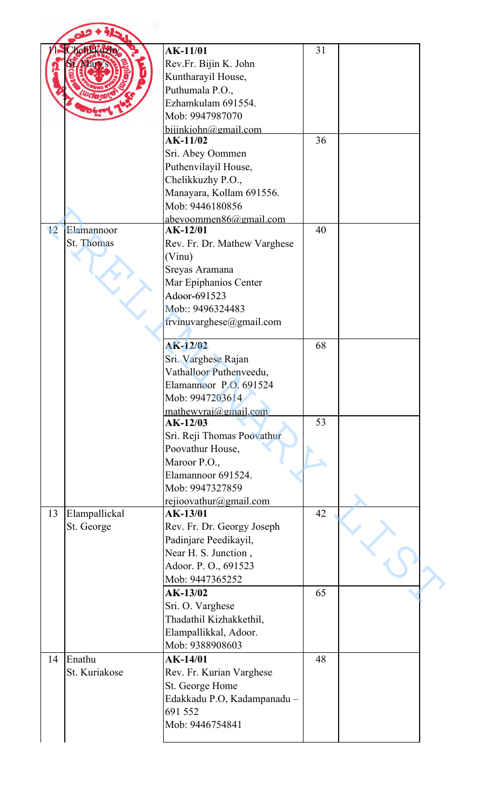|    | helikkuzhy    | <b>AK-11/01</b>              | 31 |  |
|----|---------------|------------------------------|----|--|
|    |               | Rev.Fr. Bijin K. John        |    |  |
|    |               | Kuntharayil House,           |    |  |
|    |               | Puthumala P.O.,              |    |  |
|    |               | Ezhamkulam 691554.           |    |  |
|    |               | Mob: 9947987070              |    |  |
|    |               | bijinkjohn@gmail.com         |    |  |
|    |               | AK-11/02                     | 36 |  |
|    |               | Sri. Abey Oommen             |    |  |
|    |               | Puthenvilayil House,         |    |  |
|    |               | Chelikkuzhy P.O.,            |    |  |
|    |               | Manayara, Kollam 691556.     |    |  |
|    |               | Mob: 9446180856              |    |  |
|    |               | abeyoommen86@gmail.com       |    |  |
| 12 | Elamannoor    | AK-12/01                     | 40 |  |
|    | St. Thomas    |                              |    |  |
|    |               | Rev. Fr. Dr. Mathew Varghese |    |  |
|    |               | (Vinu)                       |    |  |
|    |               | Sreyas Aramana               |    |  |
|    |               | Mar Epiphanios Center        |    |  |
|    |               | Adoor-691523                 |    |  |
|    |               | Mob:: 9496324483             |    |  |
|    |               | frvinuvarghese@gmail.com     |    |  |
|    |               |                              |    |  |
|    |               | AK-12/02                     | 68 |  |
|    |               | Sri. Varghese Rajan          |    |  |
|    |               | Vathalloor Puthenveedu.      |    |  |
|    |               | Elamannoor P.O. 691524       |    |  |
|    |               | Mob: 9947203614              |    |  |
|    |               | mathewyrai@gmail.com         |    |  |
|    |               | $AK-12/03$                   | 53 |  |
|    |               | Sri. Reji Thomas Poovathur   |    |  |
|    |               | Poovathur House,             |    |  |
|    |               | Maroor P.O.,                 |    |  |
|    |               | Elamannoor 691524.           |    |  |
|    |               | Mob: 9947327859              |    |  |
|    |               |                              |    |  |
|    |               | rejioovathur@gmail.com       |    |  |
| 13 | Elampallickal | AK-13/01                     | 42 |  |
|    | St. George    | Rev. Fr. Dr. Georgy Joseph   |    |  |
|    |               | Padinjare Peedikayil,        |    |  |
|    |               | Near H. S. Junction,         |    |  |
|    |               | Adoor. P.O., 691523          |    |  |
|    |               | Mob: 9447365252              |    |  |
|    |               | AK-13/02                     | 65 |  |
|    |               | Sri. O. Varghese             |    |  |
|    |               | Thadathil Kizhakkethil,      |    |  |
|    |               | Elampallikkal, Adoor.        |    |  |
|    |               | Mob: 9388908603              |    |  |
| 14 | Enathu        | AK-14/01                     | 48 |  |
|    | St. Kuriakose |                              |    |  |
|    |               | Rev. Fr. Kurian Varghese     |    |  |
|    |               | St. George Home              |    |  |
|    |               | Edakkadu P.O, Kadampanadu -  |    |  |
|    |               | 691 552                      |    |  |
|    |               | Mob: 9446754841              |    |  |
|    |               |                              |    |  |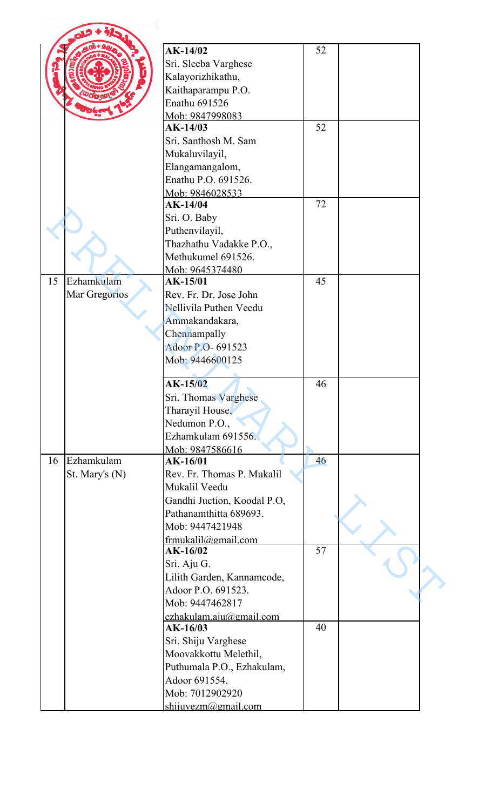|    |                | AK-14/02                        | 52 |  |
|----|----------------|---------------------------------|----|--|
|    |                |                                 |    |  |
|    |                | Sri. Sleeba Varghese            |    |  |
|    |                | Kalayorizhikathu,               |    |  |
|    |                | Kaithaparampu P.O.              |    |  |
|    |                | Enathu 691526                   |    |  |
|    |                | Mob: 9847998083                 |    |  |
|    |                | AK-14/03                        | 52 |  |
|    |                | Sri. Santhosh M. Sam            |    |  |
|    |                | Mukaluvilayil,                  |    |  |
|    |                | Elangamangalom,                 |    |  |
|    |                | Enathu P.O. 691526.             |    |  |
|    |                | Mob: 9846028533                 |    |  |
|    |                | AK-14/04                        | 72 |  |
|    |                | Sri. O. Baby                    |    |  |
|    |                | Puthenvilayil,                  |    |  |
|    |                | Thazhathu Vadakke P.O.,         |    |  |
|    |                | Methukumel 691526.              |    |  |
|    |                | Mob: 9645374480                 |    |  |
| 15 | Ezhamkulam     | AK-15/01                        | 45 |  |
|    | Mar Gregorios  | Rev. Fr. Dr. Jose John          |    |  |
|    |                | Nellivila Puthen Veedu          |    |  |
|    |                | Ammakandakara,                  |    |  |
|    |                | Chennampally                    |    |  |
|    |                |                                 |    |  |
|    |                | Adoor P.O- 691523               |    |  |
|    |                | Mob: 9446600125                 |    |  |
|    |                | AK-15/02                        | 46 |  |
|    |                | Sri. Thomas Varghese            |    |  |
|    |                | Tharayil House,                 |    |  |
|    |                | Nedumon P.O.,                   |    |  |
|    |                | Ezhamkulam 691556.              |    |  |
|    |                | Mob: 9847586616                 |    |  |
| 16 | Ezhamkulam     | AK-16/01                        | 46 |  |
|    | St. Mary's (N) | Rev. Fr. Thomas P. Mukalil      |    |  |
|    |                | Mukalil Veedu                   |    |  |
|    |                | Gandhi Juction, Koodal P.O,     |    |  |
|    |                | Pathanamthitta 689693.          |    |  |
|    |                | Mob: 9447421948                 |    |  |
|    |                |                                 |    |  |
|    |                | frmukalil@gmail.com<br>AK-16/02 | 57 |  |
|    |                |                                 |    |  |
|    |                | Sri. Aju G.                     |    |  |
|    |                | Lilith Garden, Kannamcode,      |    |  |
|    |                | Adoor P.O. 691523.              |    |  |
|    |                | Mob: 9447462817                 |    |  |
|    |                | ezhakulam.aju@gmail.com         |    |  |
|    |                | AK-16/03                        | 40 |  |
|    |                | Sri. Shiju Varghese             |    |  |
|    |                | Moovakkottu Melethil,           |    |  |
|    |                | Puthumala P.O., Ezhakulam,      |    |  |
|    |                | Adoor 691554.                   |    |  |
|    |                |                                 |    |  |
|    |                | Mob: 7012902920                 |    |  |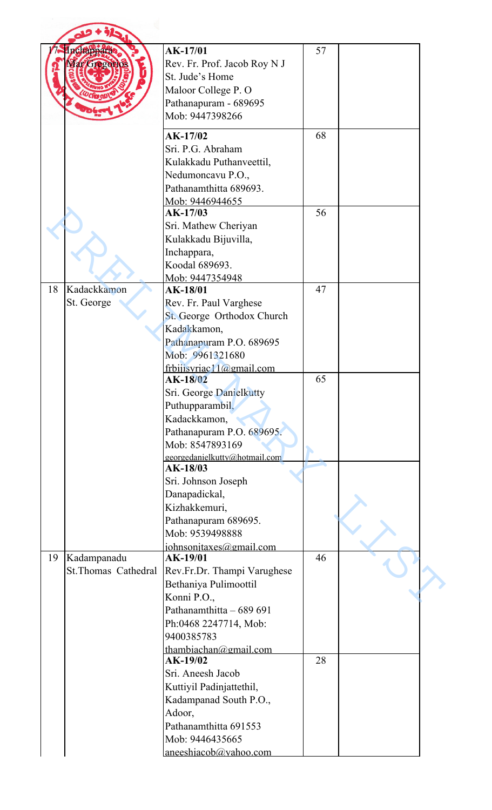|    | nchappara<br><b>APATE20</b> | AK-17/01<br>Rev. Fr. Prof. Jacob Roy N J     | 57 |  |
|----|-----------------------------|----------------------------------------------|----|--|
|    |                             | St. Jude's Home                              |    |  |
|    |                             | Maloor College P. O                          |    |  |
|    |                             | Pathanapuram - 689695                        |    |  |
|    |                             | Mob: 9447398266                              |    |  |
|    |                             | AK-17/02                                     | 68 |  |
|    |                             | Sri. P.G. Abraham                            |    |  |
|    |                             | Kulakkadu Puthanveettil,                     |    |  |
|    |                             | Nedumoncavu P.O.,                            |    |  |
|    |                             | Pathanamthitta 689693.                       |    |  |
|    |                             | Mob: 9446944655<br>AK-17/03                  | 56 |  |
|    |                             | Sri. Mathew Cheriyan                         |    |  |
|    |                             | Kulakkadu Bijuvilla,                         |    |  |
|    |                             | Inchappara,                                  |    |  |
|    |                             | Koodal 689693.                               |    |  |
|    |                             | Mob: 9447354948                              |    |  |
| 18 | Kadackkamon                 | AK-18/01                                     | 47 |  |
|    | St. George                  | Rev. Fr. Paul Varghese                       |    |  |
|    |                             | St. George Orthodox Church<br>Kadakkamon,    |    |  |
|    |                             | Pathanapuram P.O. 689695                     |    |  |
|    |                             | Mob: 9961321680                              |    |  |
|    |                             | frbijisvriac11@gmail.com                     |    |  |
|    |                             | AK-18/02                                     | 65 |  |
|    |                             | Sri. George Danielkutty                      |    |  |
|    |                             | Puthupparambil,                              |    |  |
|    |                             | Kadackkamon,                                 |    |  |
|    |                             | Pathanapuram P.O. 689695.<br>Mob: 8547893169 |    |  |
|    |                             | georgedanielkutty@hotmail.com                |    |  |
|    |                             | AK-18/03                                     |    |  |
|    |                             | Sri. Johnson Joseph                          |    |  |
|    |                             | Danapadickal,                                |    |  |
|    |                             | Kizhakkemuri,                                |    |  |
|    |                             | Pathanapuram 689695.<br>Mob: 9539498888      |    |  |
|    |                             | johnsonitaxes@gmail.com                      |    |  |
| 19 | Kadampanadu                 | AK-19/01                                     | 46 |  |
|    | St. Thomas Cathedral        | Rev.Fr.Dr. Thampi Varughese                  |    |  |
|    |                             | Bethaniya Pulimoottil                        |    |  |
|    |                             | Konni P.O.,                                  |    |  |
|    |                             | Pathanamthitta - 689 691                     |    |  |
|    |                             | Ph:0468 2247714, Mob:                        |    |  |
|    |                             | 9400385783                                   |    |  |
|    |                             | thambiachan@gmail.com<br>AK-19/02            | 28 |  |
|    |                             | Sri. Aneesh Jacob                            |    |  |
|    |                             | Kuttiyil Padinjattethil,                     |    |  |
|    |                             | Kadampanad South P.O.,                       |    |  |
|    |                             | Adoor,                                       |    |  |
|    |                             | Pathanamthitta 691553                        |    |  |
|    |                             | Mob: 9446435665                              |    |  |
|    |                             | aneeshiacob@vahoo.com                        |    |  |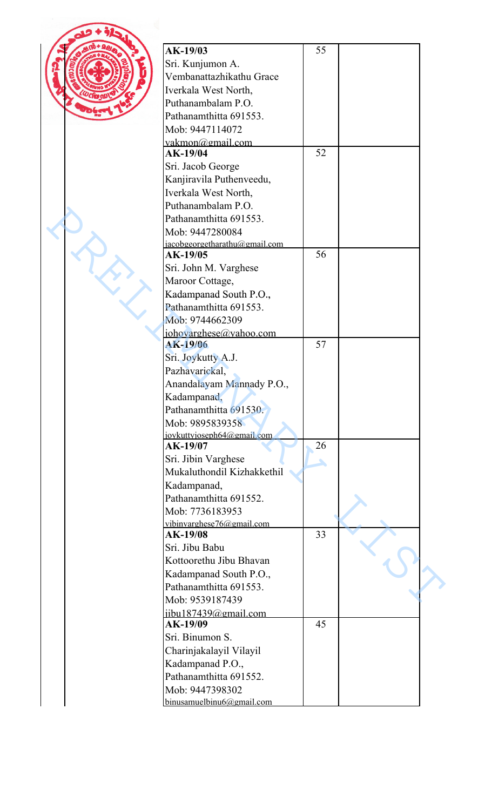| AK-19/03                      | 55 |  |
|-------------------------------|----|--|
| Sri. Kunjumon A.              |    |  |
| Vembanattazhikathu Grace      |    |  |
| Iverkala West North,          |    |  |
| Puthanambalam P.O.            |    |  |
| Pathanamthitta 691553.        |    |  |
| Mob: 9447114072               |    |  |
| vakmon@gmail.com              |    |  |
| AK-19/04                      | 52 |  |
| Sri. Jacob George             |    |  |
| Kanjiravila Puthenveedu,      |    |  |
|                               |    |  |
| Iverkala West North,          |    |  |
| Puthanambalam P.O.            |    |  |
| Pathanamthitta 691553.        |    |  |
| Mob: 9447280084               |    |  |
| jacobgeorgetharathu@gmail.com |    |  |
| AK-19/05                      | 56 |  |
| Sri. John M. Varghese         |    |  |
| Maroor Cottage,               |    |  |
| Kadampanad South P.O.,        |    |  |
| Pathanamthitta 691553.        |    |  |
| Mob: 9744662309               |    |  |
| johovarghese@yahoo.com        |    |  |
| AK-19/06                      | 57 |  |
| Sri. Joykutty A.J.            |    |  |
| Pazhavarickal,                |    |  |
| Anandalayam Mannady P.O.,     |    |  |
| Kadampanad,                   |    |  |
| Pathanamthitta 691530.        |    |  |
|                               |    |  |
| Mob: 9895839358               |    |  |
| jovkuttyjoseph64@gmail.com    | 26 |  |
| AK-19/07                      |    |  |
| Sri. Jibin Varghese           |    |  |
| Mukaluthondil Kizhakkethil    |    |  |
| Kadampanad,                   |    |  |
| Pathanamthitta 691552.        |    |  |
| Mob: 7736183953               |    |  |
| vibinvarghese76@gmail.com     |    |  |
| AK-19/08                      | 33 |  |
| Sri. Jibu Babu                |    |  |
| Kottoorethu Jibu Bhavan       |    |  |
| Kadampanad South P.O.,        |    |  |
| Pathanamthitta 691553.        |    |  |
| Mob: 9539187439               |    |  |
| iibu187439@gmail.com          |    |  |
| AK-19/09                      | 45 |  |
| Sri. Binumon S.               |    |  |
|                               |    |  |
| Charinjakalayil Vilayil       |    |  |
| Kadampanad P.O.,              |    |  |
| Pathanamthitta 691552.        |    |  |
| Mob: 9447398302               |    |  |
| binusamuelbinu6@gmail.com     |    |  |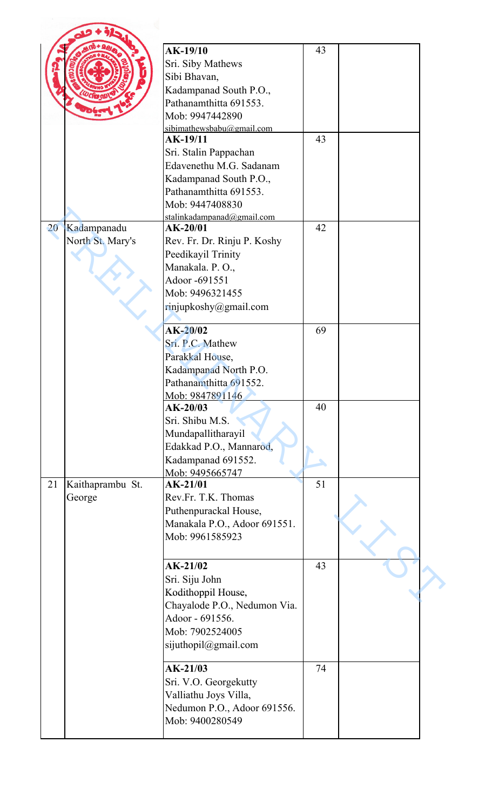|    |                                 | <b>AK-19/10</b><br>Sri. Siby Mathews<br>Sibi Bhavan,<br>Kadampanad South P.O.,<br>Pathanamthitta 691553.<br>Mob: 9947442890                                                                    | 43       |  |
|----|---------------------------------|------------------------------------------------------------------------------------------------------------------------------------------------------------------------------------------------|----------|--|
|    |                                 | sibimathewsbabu@gmail.com<br>AK-19/11<br>Sri. Stalin Pappachan<br>Edavenethu M.G. Sadanam<br>Kadampanad South P.O.,<br>Pathanamthitta 691553.<br>Mob: 9447408830<br>stalinkadampanad@gmail.com | 43       |  |
| 20 | Kadampanadu<br>North St. Mary's | $AK-20/01$<br>Rev. Fr. Dr. Rinju P. Koshy<br>Peedikayil Trinity<br>Manakala. P.O.,<br>Adoor -691551<br>Mob: 9496321455<br>rinjupkoshy@gmail.com                                                | 42       |  |
|    |                                 | $AK-20/02$<br>Sri. P.C. Mathew<br>Parakkal House,<br>Kadampanad North P.O.<br>Pathanamthitta 691552.<br>Mob: 9847891146<br>$AK-20/03$                                                          | 69<br>40 |  |
|    |                                 | Sri. Shibu M.S.<br>Mundapallitharayil<br>Edakkad P.O., Mannarod,<br>Kadampanad 691552.<br>Mob: 9495665747                                                                                      |          |  |
| 21 | Kaithaprambu St.<br>George      | $AK-21/01$<br>Rev.Fr. T.K. Thomas<br>Puthenpurackal House,<br>Manakala P.O., Adoor 691551.<br>Mob: 9961585923                                                                                  | 51       |  |
|    |                                 | AK-21/02<br>Sri. Siju John<br>Kodithoppil House,<br>Chayalode P.O., Nedumon Via.<br>Adoor - 691556.<br>Mob: 7902524005<br>sijuthopil@gmail.com                                                 | 43       |  |
|    |                                 | $AK-21/03$<br>Sri. V.O. Georgekutty<br>Valliathu Joys Villa,<br>Nedumon P.O., Adoor 691556.<br>Mob: 9400280549                                                                                 | 74       |  |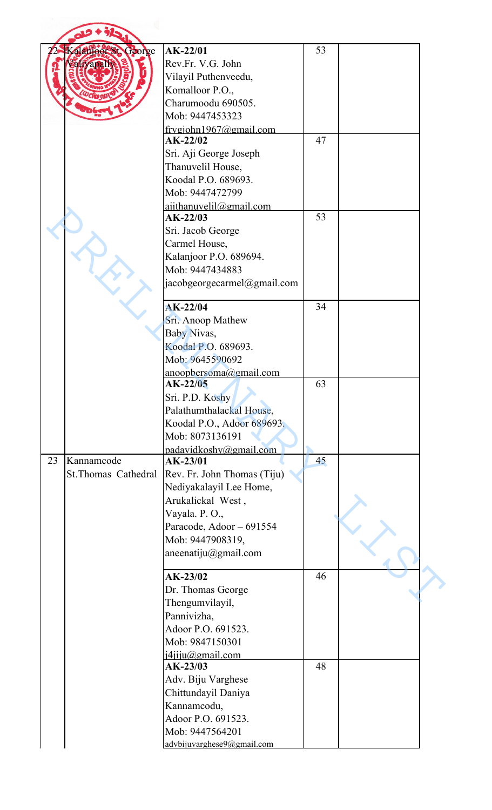| Kalanjoer St, George | $AK-22/01$                          | 53 |  |
|----------------------|-------------------------------------|----|--|
| alivapa              | Rev.Fr. V.G. John                   |    |  |
|                      | Vilayil Puthenveedu,                |    |  |
|                      | Komalloor P.O.,                     |    |  |
|                      | Charumoodu 690505.                  |    |  |
|                      | Mob: 9447453323                     |    |  |
|                      | frvgjohn $1967@gmail.com$           |    |  |
|                      | $AK-22/02$                          | 47 |  |
|                      | Sri. Aji George Joseph              |    |  |
|                      | Thanuvelil House,                   |    |  |
|                      | Koodal P.O. 689693.                 |    |  |
|                      | Mob: 9447472799                     |    |  |
|                      | aiithanuveli@gmail.com              |    |  |
|                      | $AK-22/03$                          | 53 |  |
|                      | Sri. Jacob George                   |    |  |
|                      | Carmel House,                       |    |  |
|                      | Kalanjoor P.O. 689694.              |    |  |
|                      | Mob: 9447434883                     |    |  |
|                      | jacobgeorgecarmel@gmail.com         |    |  |
|                      |                                     |    |  |
|                      | $AK-22/04$                          | 34 |  |
|                      | Sri. Anoop Mathew                   |    |  |
|                      | Baby Nivas,                         |    |  |
|                      | Koodal P.O. 689693.                 |    |  |
|                      | Mob: 9645590692                     |    |  |
|                      | anooobersoma@gmail.com              |    |  |
|                      | $AK-22/05$                          | 63 |  |
|                      | Sri. P.D. Koshy                     |    |  |
|                      | Palathumthalackal House,            |    |  |
|                      | Koodal P.O., Adoor 689693.          |    |  |
|                      | Mob: 8073136191                     |    |  |
|                      | padavidkoshy@gmail.com              |    |  |
| Kannamcode           | AK-23/01                            | 45 |  |
| St.Thomas Cathedral  | Rev. Fr. John Thomas (Tiju)         |    |  |
|                      | Nediyakalayil Lee Home,             |    |  |
|                      | Arukalickal West,                   |    |  |
|                      | Vayala. P.O.,                       |    |  |
|                      | Paracode, Adoor - 691554            |    |  |
|                      | Mob: 9447908319,                    |    |  |
|                      | aneenatiju $@g$ mail.com            |    |  |
|                      |                                     |    |  |
|                      | AK-23/02                            | 46 |  |
|                      | Dr. Thomas George                   |    |  |
|                      | Thengumvilayil,                     |    |  |
|                      | Pannivizha,                         |    |  |
|                      | Adoor P.O. 691523.                  |    |  |
|                      | Mob: 9847150301                     |    |  |
|                      |                                     |    |  |
|                      | <i>i4jiju@gmail.com</i><br>AK-23/03 | 48 |  |
|                      | Adv. Biju Varghese                  |    |  |
|                      |                                     |    |  |
|                      | Chittundayil Daniya                 |    |  |
|                      | Kannamcodu,                         |    |  |
|                      | Adoor P.O. 691523.                  |    |  |
|                      | Mob: 9447564201                     |    |  |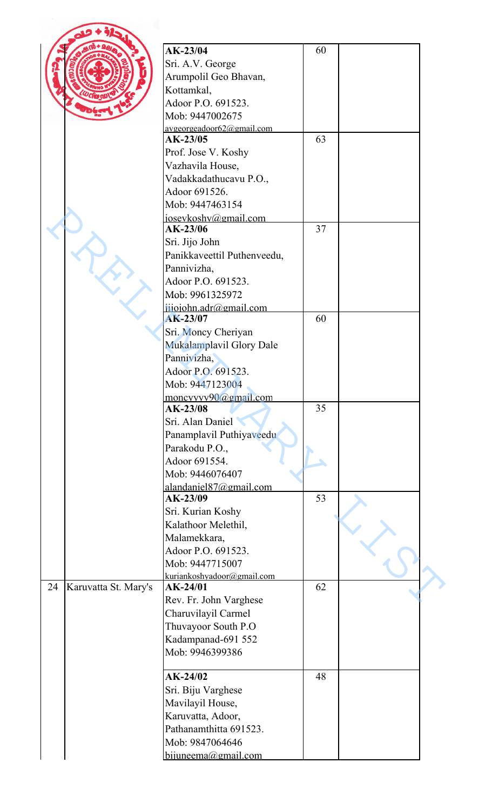|    |                      | AK-23/04                                | 60 |  |
|----|----------------------|-----------------------------------------|----|--|
|    |                      | Sri. A.V. George                        |    |  |
|    |                      | Arumpolil Geo Bhavan,                   |    |  |
|    |                      | Kottamkal,                              |    |  |
|    |                      | Adoor P.O. 691523.                      |    |  |
|    |                      | Mob: 9447002675                         |    |  |
|    |                      |                                         |    |  |
|    |                      | avgeorgeadoor62@gmail.com<br>$AK-23/05$ | 63 |  |
|    |                      | Prof. Jose V. Koshy                     |    |  |
|    |                      | Vazhavila House,                        |    |  |
|    |                      | Vadakkadathucavu P.O.,                  |    |  |
|    |                      | Adoor 691526.                           |    |  |
|    |                      |                                         |    |  |
|    |                      | Mob: 9447463154                         |    |  |
|    |                      | joseykoshy@gmail.com<br>AK-23/06        | 37 |  |
|    |                      |                                         |    |  |
|    |                      | Sri. Jijo John                          |    |  |
|    |                      | Panikkaveettil Puthenveedu,             |    |  |
|    |                      | Pannivizha,                             |    |  |
|    |                      | Adoor P.O. 691523.                      |    |  |
|    |                      | Mob: 9961325972                         |    |  |
|    |                      | jijojohn.adr@gmail.com                  |    |  |
|    |                      | AK-23/07                                | 60 |  |
|    |                      | Sri. Moncy Cheriyan                     |    |  |
|    |                      | Mukalamplavil Glory Dale                |    |  |
|    |                      | Pannivizha,                             |    |  |
|    |                      | Adoor P.O. 691523.                      |    |  |
|    |                      | Mob: 9447123004                         |    |  |
|    |                      | moncyvvy90@gmail.com                    |    |  |
|    |                      | $AK-23/08$                              | 35 |  |
|    |                      | Sri. Alan Daniel                        |    |  |
|    |                      | Panamplavil Puthiyaveedu                |    |  |
|    |                      | Parakodu P.O.,                          |    |  |
|    |                      | Adoor 691554.                           |    |  |
|    |                      | Mob: 9446076407                         |    |  |
|    |                      | alandaniel87@gmail.com                  |    |  |
|    |                      | AK-23/09                                | 53 |  |
|    |                      | Sri. Kurian Koshy                       |    |  |
|    |                      | Kalathoor Melethil,                     |    |  |
|    |                      | Malamekkara,                            |    |  |
|    |                      | Adoor P.O. 691523.                      |    |  |
|    |                      | Mob: 9447715007                         |    |  |
|    |                      | kuriankoshyadoor@gmail.com              |    |  |
| 24 | Karuvatta St. Mary's | $AK-24/01$                              | 62 |  |
|    |                      | Rev. Fr. John Varghese                  |    |  |
|    |                      | Charuvilayil Carmel                     |    |  |
|    |                      | Thuvayoor South P.O                     |    |  |
|    |                      | Kadampanad-691 552                      |    |  |
|    |                      | Mob: 9946399386                         |    |  |
|    |                      |                                         |    |  |
|    |                      | $AK-24/02$                              | 48 |  |
|    |                      | Sri. Biju Varghese                      |    |  |
|    |                      | Mavilayil House,                        |    |  |
|    |                      | Karuvatta, Adoor,                       |    |  |
|    |                      | Pathanamthitta 691523.                  |    |  |
|    |                      | Mob: 9847064646                         |    |  |
|    |                      | bijuneema@gmail.com                     |    |  |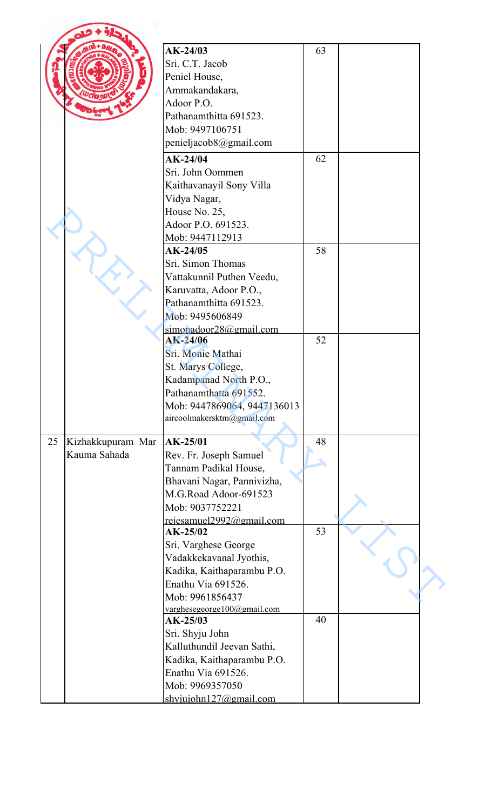|    |                                   | $AK-24/03$<br>Sri. C.T. Jacob<br>Peniel House,<br>Ammakandakara,<br>Adoor P.O.<br>Pathanamthitta 691523.<br>Mob: 9497106751<br>penieljacob8@gmail.com                   | 63 |  |
|----|-----------------------------------|-------------------------------------------------------------------------------------------------------------------------------------------------------------------------|----|--|
|    |                                   | $AK-24/04$<br>Sri. John Oommen<br>Kaithavanayil Sony Villa<br>Vidya Nagar,<br>House No. 25,<br>Adoor P.O. 691523.<br>Mob: 9447112913                                    | 62 |  |
|    |                                   | $AK-24/05$<br>Sri. Simon Thomas<br>Vattakunnil Puthen Veedu,<br>Karuvatta, Adoor P.O.,<br>Pathanamthitta 691523.<br>Mob: 9495606849<br>simonadoor28@email.com           | 58 |  |
|    |                                   | $AK-24/06$<br>Sri. Monie Mathai<br>St. Marys College,<br>Kadampanad North P.O.,<br>Pathanamthatta 691552.<br>Mob: 9447869064, 9447136013<br>aircoolmakersktm@gmail.com  | 52 |  |
| 25 | Kizhakkupuram Mar<br>Kauma Sahada | AK-25/01<br>Rev. Fr. Joseph Samuel<br>Tannam Padikal House,<br>Bhavani Nagar, Pannivizha,<br>M.G.Road Adoor-691523<br>Mob: 9037752221<br>rejesamuel2992@gmail.com       | 48 |  |
|    |                                   | $AK-25/02$<br>Sri. Varghese George<br>Vadakkekavanal Jyothis,<br>Kadika, Kaithaparambu P.O.<br>Enathu Via 691526.<br>Mob: 9961856437<br>varghesegeorge $100@$ gmail.com | 53 |  |
|    |                                   | $AK-25/03$<br>Sri. Shyju John<br>Kalluthundil Jeevan Sathi,<br>Kadika, Kaithaparambu P.O.<br>Enathu Via 691526.<br>Mob: 9969357050<br>shyjujohn $127$ @gmail.com        | 40 |  |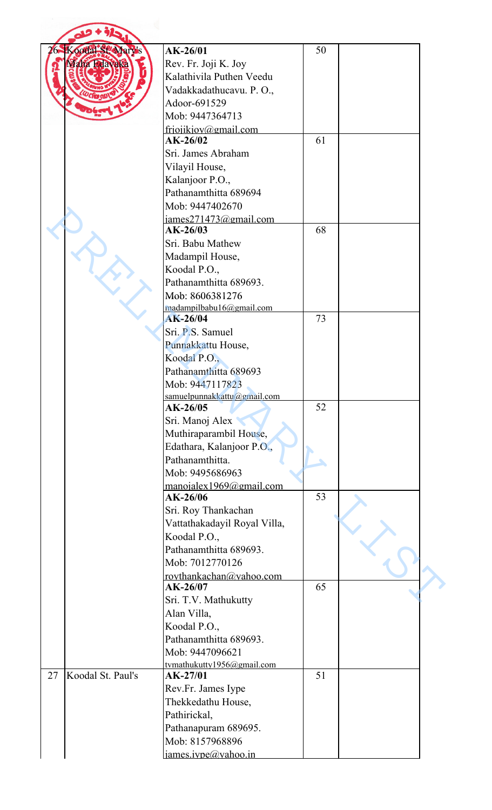| 26 | Koodal St Mary's  | $AK-26/01$                          | 50 |  |
|----|-------------------|-------------------------------------|----|--|
|    | Maha Edavaka      | Rev. Fr. Joji K. Joy                |    |  |
|    |                   | Kalathivila Puthen Veedu            |    |  |
|    |                   | Vadakkadathucavu. P. O.,            |    |  |
|    |                   | Adoor-691529                        |    |  |
|    |                   | Mob: 9447364713                     |    |  |
|    |                   | friojikjov@gmail.com                |    |  |
|    |                   | $AK-26/02$                          | 61 |  |
|    |                   | Sri. James Abraham                  |    |  |
|    |                   | Vilayil House,                      |    |  |
|    |                   | Kalanjoor P.O.,                     |    |  |
|    |                   | Pathanamthitta 689694               |    |  |
|    |                   | Mob: 9447402670                     |    |  |
|    |                   | james271473@gmail.com               |    |  |
|    |                   | $AK-26/03$                          | 68 |  |
|    |                   | Sri. Babu Mathew                    |    |  |
|    |                   | Madampil House,                     |    |  |
|    |                   | Koodal P.O.,                        |    |  |
|    |                   | Pathanamthitta 689693.              |    |  |
|    |                   | Mob: 8606381276                     |    |  |
|    |                   | madampilbabu16@gmail.com            |    |  |
|    |                   | $AK-26/04$                          | 73 |  |
|    |                   | Sri. P.S. Samuel                    |    |  |
|    |                   | Punnakkattu House,                  |    |  |
|    |                   | Koodal P.O.,                        |    |  |
|    |                   | Pathanamthitta 689693               |    |  |
|    |                   | Mob: 9447117823                     |    |  |
|    |                   | samuelpunnakkattu@gmail.com         |    |  |
|    |                   | $AK-26/05$                          | 52 |  |
|    |                   | Sri. Manoj Alex                     |    |  |
|    |                   | Muthiraparambil House,              |    |  |
|    |                   | Edathara, Kalanjoor P.O.,           |    |  |
|    |                   | Pathanamthitta.                     |    |  |
|    |                   | Mob: 9495686963                     |    |  |
|    |                   | manoialex1969@gmail.com<br>AK-26/06 | 53 |  |
|    |                   | Sri. Roy Thankachan                 |    |  |
|    |                   | Vattathakadayil Royal Villa,        |    |  |
|    |                   | Koodal P.O.,                        |    |  |
|    |                   | Pathanamthitta 689693.              |    |  |
|    |                   | Mob: 7012770126                     |    |  |
|    |                   | rovthankachan@vahoo.com             |    |  |
|    |                   | $AK-26/07$                          | 65 |  |
|    |                   | Sri. T.V. Mathukutty                |    |  |
|    |                   | Alan Villa,                         |    |  |
|    |                   | Koodal P.O.,                        |    |  |
|    |                   | Pathanamthitta 689693.              |    |  |
|    |                   | Mob: 9447096621                     |    |  |
|    |                   | tymathukutty1956@gmail.com          |    |  |
| 27 | Koodal St. Paul's | AK-27/01                            | 51 |  |
|    |                   | Rev.Fr. James Iype                  |    |  |
|    |                   | Thekkedathu House,                  |    |  |
|    |                   | Pathirickal,                        |    |  |
|    |                   | Pathanapuram 689695.                |    |  |
|    |                   | Mob: 8157968896                     |    |  |
|    |                   | james.ivpe@yahoo.in                 |    |  |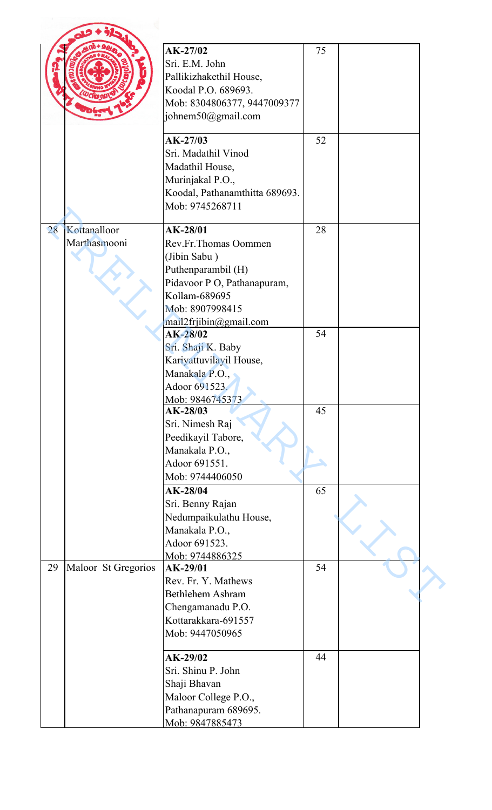|    |                              | $AK-27/02$<br>Sri. E.M. John<br>Pallikizhakethil House,<br>Koodal P.O. 689693.<br>Mob: 8304806377, 9447009377<br>johnem50@gmail.com                                 | 75 |  |
|----|------------------------------|---------------------------------------------------------------------------------------------------------------------------------------------------------------------|----|--|
|    |                              | $AK-27/03$<br>Sri. Madathil Vinod<br>Madathil House,<br>Murinjakal P.O.,<br>Koodal, Pathanamthitta 689693.<br>Mob: 9745268711                                       | 52 |  |
| 28 | Kottanalloor<br>Marthasmooni | AK-28/01<br>Rev.Fr.Thomas Oommen<br>(Jibin Sabu)<br>Puthenparambil (H)<br>Pidavoor P O, Pathanapuram,<br>Kollam-689695<br>Mob: 8907998415<br>mail2frjibin@gmail.com | 28 |  |
|    |                              | $AK-28/02$<br>Sri. Shaji K. Baby<br>Kariyattuvilayil House,<br>Manakala P.O.<br>Adoor 691523.<br>Mob: 9846745373                                                    | 54 |  |
|    |                              | AK-28/03<br>Sri. Nimesh Raj<br>Peedikayil Tabore,<br>Manakala P.O.,<br>Adoor 691551.<br>Mob: 9744406050                                                             | 45 |  |
|    |                              | AK-28/04<br>Sri. Benny Rajan<br>Nedumpaikulathu House,<br>Manakala P.O.,<br>Adoor 691523.<br>Mob: 9744886325                                                        | 65 |  |
| 29 | Maloor St Gregorios          | AK-29/01<br>Rev. Fr. Y. Mathews<br><b>Bethlehem Ashram</b><br>Chengamanadu P.O.<br>Kottarakkara-691557<br>Mob: 9447050965                                           | 54 |  |
|    |                              | $AK-29/02$<br>Sri. Shinu P. John<br>Shaji Bhavan<br>Maloor College P.O.,<br>Pathanapuram 689695.<br>Mob: 9847885473                                                 | 44 |  |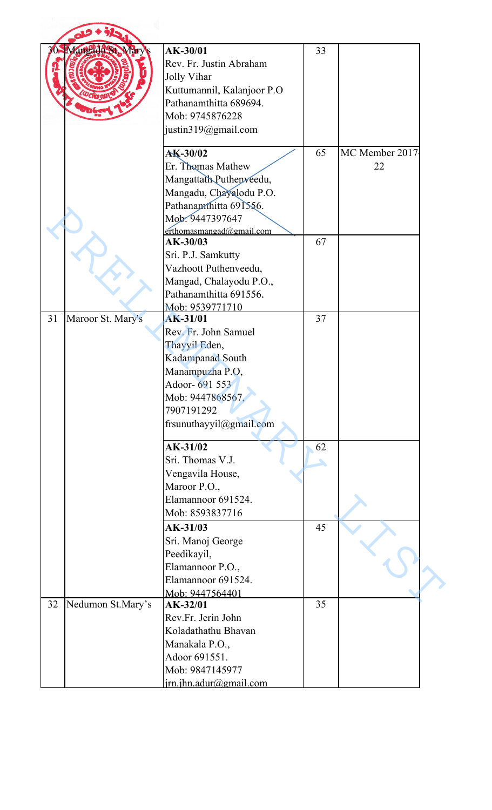|                         | Mangadu St Mary's                                                                                                                                                              | AK-30/01<br>Rev. Fr. Justin Abraham<br>Jolly Vihar<br>Kuttumannil, Kalanjoor P.O<br>Pathanamthitta 689694.<br>Mob: 9745876228<br>justin319@gmail.com                     | 33 |                      |
|-------------------------|--------------------------------------------------------------------------------------------------------------------------------------------------------------------------------|--------------------------------------------------------------------------------------------------------------------------------------------------------------------------|----|----------------------|
|                         |                                                                                                                                                                                | AK-30/02<br>Er. Thomas Mathew<br>Mangattath Puthenveedu,<br>Mangadu, Chayalodu P.O.<br>Pathanamthitta 691556.<br>Mob. 9447397647<br>$erthomasmangad(\partial gmail.com)$ | 65 | MC Member 2017<br>22 |
|                         |                                                                                                                                                                                | AK-30/03<br>Sri. P.J. Samkutty<br>Vazhoott Puthenveedu,<br>Mangad, Chalayodu P.O.,<br>Pathanamthitta 691556.<br>Mob: 9539771710                                          | 67 |                      |
| 31<br>Maroor St. Mary's | <b>AK-31/01</b><br>Rev. Fr. John Samuel<br>Thayyil Eden,<br>Kadampanad South<br>Manampuzha P.O,<br>Adoor- 691 553<br>Mob: 9447868567.<br>7907191292<br>frsunuthayyil@gmail.com | 37                                                                                                                                                                       |    |                      |
|                         |                                                                                                                                                                                | $AK-31/02$<br>Sri. Thomas V.J.<br>Vengavila House,<br>Maroor P.O.,<br>Elamannoor 691524.<br>Mob: 8593837716                                                              | 62 |                      |
|                         |                                                                                                                                                                                | AK-31/03<br>Sri. Manoj George<br>Peedikayil,<br>Elamannoor P.O.,<br>Elamannoor 691524.<br>Mob: 9447564401                                                                | 45 |                      |
| 32                      | Nedumon St.Mary's                                                                                                                                                              | AK-32/01<br>Rev.Fr. Jerin John<br>Koladathathu Bhavan<br>Manakala P.O.,<br>Adoor 691551.<br>Mob: 9847145977<br>$irn.$ jhn.adur@gmail.com                                 | 35 |                      |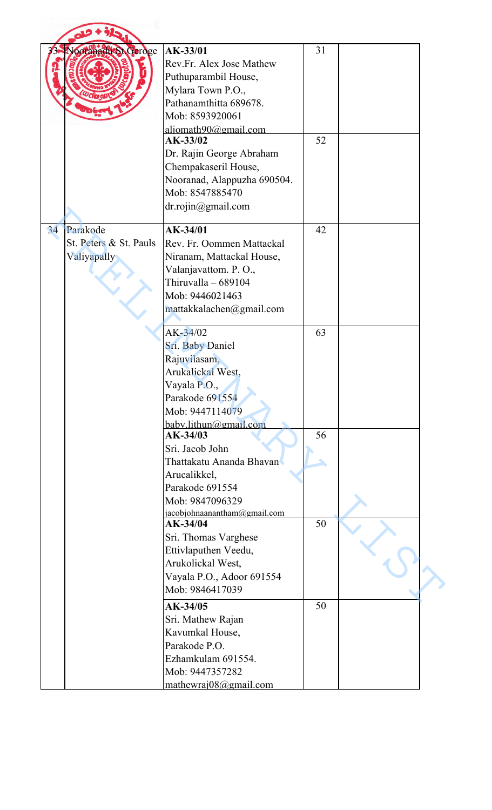|    | octanacticSt Geroge                               | AK-33/01<br>Rev.Fr. Alex Jose Mathew<br>Puthuparambil House,<br>Mylara Town P.O.,<br>Pathanamthitta 689678.<br>Mob: 8593920061<br>aljomath90@gmail.com<br>AK-33/02<br>Dr. Rajin George Abraham<br>Chempakaseril House,<br>Nooranad, Alappuzha 690504.<br>Mob: 8547885470<br>dr. rojin@gmail.com | 31<br>52 |  |
|----|---------------------------------------------------|-------------------------------------------------------------------------------------------------------------------------------------------------------------------------------------------------------------------------------------------------------------------------------------------------|----------|--|
| 34 | Parakode<br>St. Peters & St. Pauls<br>Valiyapally | AK-34/01<br>Rev. Fr. Oommen Mattackal<br>Niranam, Mattackal House,<br>Valanjavattom. P.O.,<br>Thiruvalla - 689104<br>Mob: 9446021463<br>mattakkalachen@gmail.com                                                                                                                                | 42       |  |
|    |                                                   | $AK-34/02$<br>Sri. Baby Daniel<br>Rajuvilasam,<br>Arukalickal West,<br>Vayala P.O.,<br>Parakode 691554<br>Mob: 9447114079<br>baby.lithun@gmail.com                                                                                                                                              | 63       |  |
|    |                                                   | AK-34/03<br>Sri. Jacob John<br>Thattakatu Ananda Bhavan<br>Arucalikkel,<br>Parakode 691554<br>Mob: 9847096329<br>jacobjohnaanantham@gmail.com                                                                                                                                                   | 56       |  |
|    |                                                   | AK-34/04<br>Sri. Thomas Varghese<br>Ettivlaputhen Veedu,<br>Arukolickal West,<br>Vayala P.O., Adoor 691554<br>Mob: 9846417039                                                                                                                                                                   | 50       |  |
|    |                                                   | AK-34/05<br>Sri. Mathew Rajan<br>Kavumkal House,<br>Parakode P.O.<br>Ezhamkulam 691554.<br>Mob: 9447357282<br>mathewrai08@gmail.com                                                                                                                                                             | 50       |  |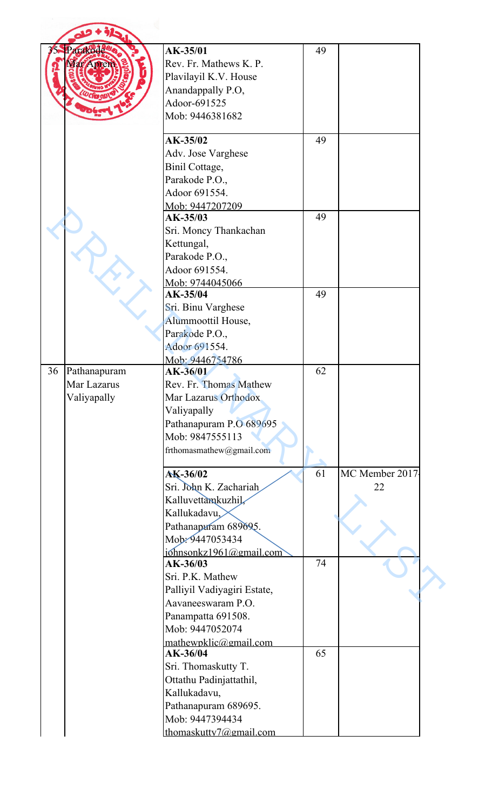|                                                  | AK-35/01                    | 49 |                |
|--------------------------------------------------|-----------------------------|----|----------------|
|                                                  | Rev. Fr. Mathews K. P.      |    |                |
|                                                  | Plavilayil K.V. House       |    |                |
|                                                  | Anandappally P.O,           |    |                |
| 36<br>Pathanapuram<br>Mar Lazarus<br>Valiyapally | Adoor-691525                |    |                |
|                                                  | Mob: 9446381682             |    |                |
|                                                  |                             |    |                |
|                                                  | AK-35/02                    | 49 |                |
|                                                  | Adv. Jose Varghese          |    |                |
|                                                  | Binil Cottage,              |    |                |
|                                                  | Parakode P.O.,              |    |                |
|                                                  | Adoor 691554.               |    |                |
|                                                  | Mob: 9447207209             |    |                |
|                                                  | AK-35/03                    | 49 |                |
|                                                  | Sri. Moncy Thankachan       |    |                |
|                                                  | Kettungal,                  |    |                |
|                                                  | Parakode P.O.,              |    |                |
|                                                  | Adoor 691554.               |    |                |
|                                                  | Mob: 9744045066<br>AK-35/04 | 49 |                |
|                                                  | Sri. Binu Varghese          |    |                |
|                                                  |                             |    |                |
|                                                  | Alummoottil House,          |    |                |
|                                                  | Parakode P.O.,              |    |                |
|                                                  | Adoor 691554.               |    |                |
|                                                  | Mob: 9446754786<br>AK-36/01 | 62 |                |
|                                                  | Rev. Fr. Thomas Mathew      |    |                |
|                                                  | Mar Lazarus Orthodox        |    |                |
|                                                  | Valiyapally                 |    |                |
|                                                  | Pathanapuram P.O 689695     |    |                |
|                                                  | Mob: 9847555113             |    |                |
|                                                  | frthomasmathew@gmail.com    |    |                |
|                                                  |                             |    |                |
|                                                  | AK-36/02                    | 61 | MC Member 2017 |
|                                                  | Sri. John K. Zachariah      |    | 22             |
|                                                  | Kalluvettamkuzhil           |    |                |
|                                                  | Kallukadavu,                |    |                |
|                                                  | Pathanapuram 689695.        |    |                |
|                                                  | Mob: 9447053434             |    |                |
|                                                  | jóhnsonkz1961@gmail.com     |    |                |
|                                                  | AK-36/03                    | 74 |                |
|                                                  | Sri. P.K. Mathew            |    |                |
|                                                  | Palliyil Vadiyagiri Estate, |    |                |
|                                                  | Aavaneeswaram P.O.          |    |                |
|                                                  | Panampatta 691508.          |    |                |
|                                                  | Mob: 9447052074             |    |                |
|                                                  | mathewpklic@gmail.com       |    |                |
|                                                  | AK-36/04                    | 65 |                |
|                                                  | Sri. Thomaskutty T.         |    |                |
|                                                  | Ottathu Padinjattathil,     |    |                |
|                                                  | Kallukadavu,                |    |                |
|                                                  | Pathanapuram 689695.        |    |                |
|                                                  | Mob: 9447394434             |    |                |
|                                                  | thomaskutty7@gmail.com      |    |                |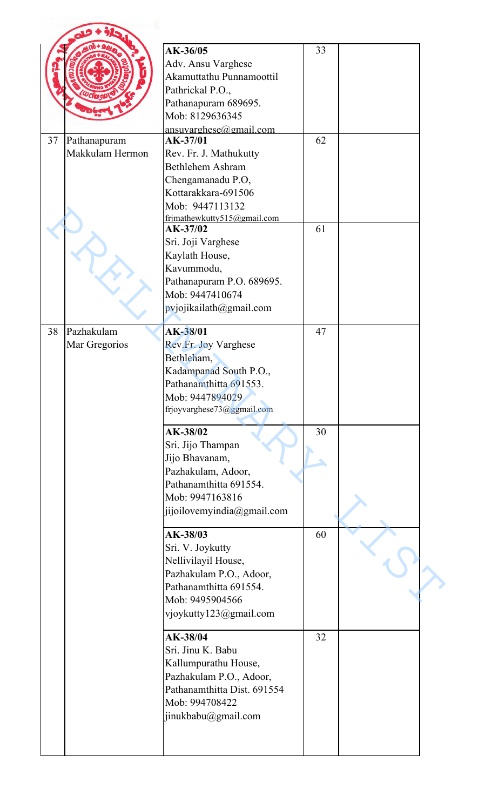|    |                 | AK-36/05<br>Adv. Ansu Varghese<br>Akamuttathu Punnamoottil                                                                                               | 33 |  |
|----|-----------------|----------------------------------------------------------------------------------------------------------------------------------------------------------|----|--|
|    |                 | Pathrickal P.O.,<br>Pathanapuram 689695.                                                                                                                 |    |  |
|    |                 | Mob: 8129636345<br>ansuvarghese@gmail.com                                                                                                                |    |  |
| 37 | Pathanapuram    | AK-37/01                                                                                                                                                 | 62 |  |
|    | Makkulam Hermon | Rev. Fr. J. Mathukutty<br>Bethlehem Ashram<br>Chengamanadu P.O,<br>Kottarakkara-691506<br>Mob: 9447113132                                                |    |  |
|    |                 | frjmathewkutty515@gmail.com<br>AK-37/02                                                                                                                  | 61 |  |
|    |                 | Sri. Joji Varghese<br>Kaylath House,<br>Kavummodu,<br>Pathanapuram P.O. 689695.<br>Mob: 9447410674<br>pvjojikailath@gmail.com                            |    |  |
| 38 | Pazhakulam      | AK-38/01                                                                                                                                                 | 47 |  |
|    | Mar Gregorios   | Rev.Fr. Joy Varghese<br>Bethleham,<br>Kadampanad South P.O.,<br>Pathanamthitta 691553.<br>Mob: 9447894029<br>frjoyvarghese73@ggmail.com                  |    |  |
|    |                 | AK-38/02<br>Sri. Jijo Thampan<br>Jijo Bhavanam,<br>Pazhakulam, Adoor,<br>Pathanamthitta 691554.<br>Mob: 9947163816<br>jijoilovemyindia@gmail.com         | 30 |  |
|    |                 | AK-38/03<br>Sri. V. Joykutty<br>Nellivilayil House,<br>Pazhakulam P.O., Adoor,<br>Pathanamthitta 691554.<br>Mob: 9495904566<br>vjoykutty123@gmail.com    | 60 |  |
|    |                 | AK-38/04<br>Sri. Jinu K. Babu<br>Kallumpurathu House,<br>Pazhakulam P.O., Adoor,<br>Pathanamthitta Dist. 691554<br>Mob: 994708422<br>jinukbabu@gmail.com | 32 |  |
|    |                 |                                                                                                                                                          |    |  |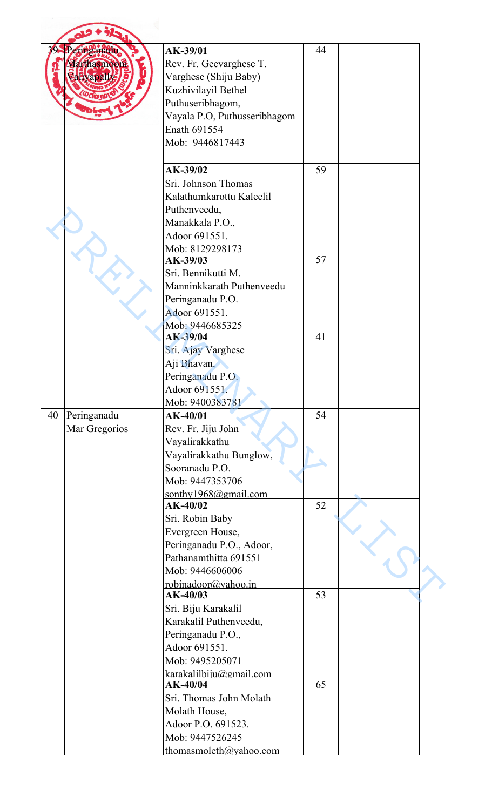| 70 | Peringanadu   | AK-39/01                              | 44 |  |
|----|---------------|---------------------------------------|----|--|
|    | Marthasmoori  | Rev. Fr. Geevarghese T.               |    |  |
|    |               | Varghese (Shiju Baby)                 |    |  |
|    |               | Kuzhivilayil Bethel                   |    |  |
|    |               | Puthuseribhagom,                      |    |  |
|    |               | Vayala P.O, Puthusseribhagom          |    |  |
|    |               | Enath 691554                          |    |  |
|    |               | Mob: 9446817443                       |    |  |
|    |               |                                       |    |  |
|    |               | AK-39/02                              | 59 |  |
|    |               | Sri. Johnson Thomas                   |    |  |
|    |               | Kalathumkarottu Kaleelil              |    |  |
|    |               |                                       |    |  |
|    |               | Puthenveedu,                          |    |  |
|    |               | Manakkala P.O.,                       |    |  |
|    |               | Adoor 691551.                         |    |  |
|    |               | Mob: 8129298173                       | 57 |  |
|    |               | AK-39/03                              |    |  |
|    |               | Sri. Bennikutti M.                    |    |  |
|    |               | Manninkkarath Puthenveedu             |    |  |
|    |               | Peringanadu P.O.                      |    |  |
|    |               | Adoor 691551.                         |    |  |
|    |               | Mob: 9446685325                       |    |  |
|    |               | AK-39/04                              | 41 |  |
|    |               | Sri. Ajay Varghese                    |    |  |
|    |               | Aji Bhavan,                           |    |  |
|    |               | Peringanadu P.O.                      |    |  |
|    |               | Adoor 691551.                         |    |  |
|    |               | Mob: 9400383781                       |    |  |
| 40 | Peringanadu   | AK-40/01                              | 54 |  |
|    | Mar Gregorios | Rev. Fr. Jiju John                    |    |  |
|    |               | Vayalirakkathu                        |    |  |
|    |               | Vayalirakkathu Bunglow,               |    |  |
|    |               | Sooranadu P.O.                        |    |  |
|    |               | Mob: 9447353706                       |    |  |
|    |               | sonthy1968@gmail.com                  |    |  |
|    |               | $AK-40/02$                            | 52 |  |
|    |               | Sri. Robin Baby                       |    |  |
|    |               | Evergreen House,                      |    |  |
|    |               | Peringanadu P.O., Adoor,              |    |  |
|    |               | Pathanamthitta 691551                 |    |  |
|    |               | Mob: 9446606006                       |    |  |
|    |               | robinadoor@vahoo.in                   |    |  |
|    |               | $AK-40/03$                            | 53 |  |
|    |               | Sri. Biju Karakalil                   |    |  |
|    |               | Karakalil Puthenveedu,                |    |  |
|    |               | Peringanadu P.O.,                     |    |  |
|    |               | Adoor 691551.                         |    |  |
|    |               | Mob: 9495205071                       |    |  |
|    |               | karakalilbiju@gmail.com               |    |  |
|    |               | AK-40/04                              | 65 |  |
|    |               | Sri. Thomas John Molath               |    |  |
|    |               |                                       |    |  |
|    |               |                                       |    |  |
|    |               | Molath House,                         |    |  |
|    |               | Adoor P.O. 691523.<br>Mob: 9447526245 |    |  |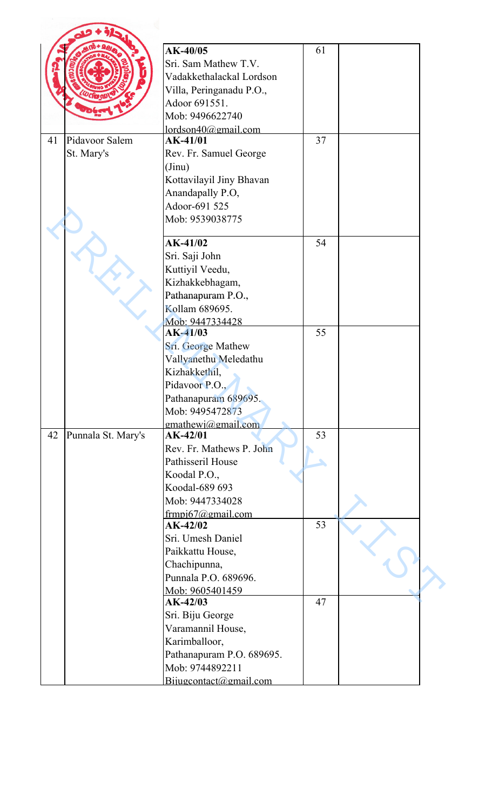|                          | AK-40/05<br>61                       |  |
|--------------------------|--------------------------------------|--|
|                          | Sri. Sam Mathew T.V.                 |  |
|                          | Vadakkethalackal Lordson             |  |
|                          | Villa, Peringanadu P.O.,             |  |
|                          | Adoor 691551.                        |  |
|                          | Mob: 9496622740                      |  |
|                          | $1$ ordson $40$ @gmail.com           |  |
| Pidavoor Salem<br>41     | 37<br>AK-41/01                       |  |
| St. Mary's               | Rev. Fr. Samuel George               |  |
|                          | (Jinu)                               |  |
|                          | Kottavilayil Jiny Bhavan             |  |
|                          | Anandapally P.O,                     |  |
|                          | Adoor-691 525                        |  |
|                          | Mob: 9539038775                      |  |
|                          |                                      |  |
|                          | $AK-41/02$<br>54                     |  |
|                          | Sri. Saji John                       |  |
|                          | Kuttiyil Veedu,                      |  |
|                          | Kizhakkebhagam,                      |  |
|                          | Pathanapuram P.O.,                   |  |
|                          | Kollam 689695.                       |  |
|                          | Mob: 9447334428                      |  |
|                          | $AK-41/03$<br>55                     |  |
|                          | Sri. George Mathew                   |  |
|                          | Vallyanethu Meledathu                |  |
|                          | Kizhakkethil,                        |  |
|                          | Pidavoor P.O.,                       |  |
|                          | Pathanapuram 689695.                 |  |
|                          | Mob: 9495472873                      |  |
| 42<br>Punnala St. Mary's | emathewi@gmail.com<br>53<br>AK-42/01 |  |
|                          | Rev. Fr. Mathews P. John             |  |
|                          | Pathisseril House                    |  |
|                          | Koodal P.O.,                         |  |
|                          | Koodal-689 693                       |  |
|                          | Mob: 9447334028                      |  |
|                          | frmpi $67$ @gmail.com                |  |
|                          | 53<br>$AK-42/02$                     |  |
|                          | Sri. Umesh Daniel                    |  |
|                          | Paikkattu House,                     |  |
|                          | Chachipunna,                         |  |
|                          | Punnala P.O. 689696.                 |  |
|                          | Mob: 9605401459                      |  |
|                          | 47<br>$AK-42/03$                     |  |
|                          | Sri. Biju George                     |  |
|                          | Varamannil House,                    |  |
|                          | Karimballoor,                        |  |
|                          | Pathanapuram P.O. 689695.            |  |
|                          | Mob: 9744892211                      |  |
|                          | Bijugcontact@gmail.com               |  |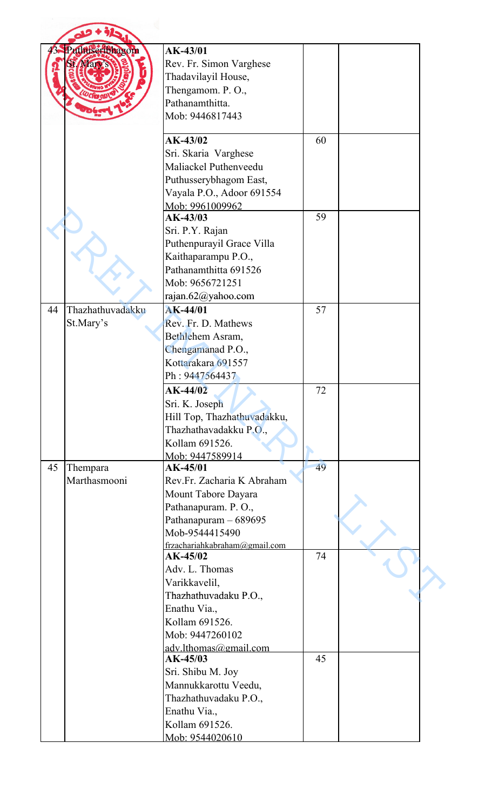| Puthuseribhagom        | AK-43/01                                        |    |  |
|------------------------|-------------------------------------------------|----|--|
|                        | Rev. Fr. Simon Varghese                         |    |  |
|                        | Thadavilayil House,                             |    |  |
|                        | Thengamom. P.O.,                                |    |  |
|                        | Pathanamthitta.                                 |    |  |
|                        | Mob: 9446817443                                 |    |  |
|                        |                                                 |    |  |
|                        | AK-43/02                                        | 60 |  |
|                        | Sri. Skaria Varghese                            |    |  |
|                        | Maliackel Puthenveedu                           |    |  |
|                        | Puthusserybhagom East,                          |    |  |
|                        | Vayala P.O., Adoor 691554                       |    |  |
|                        | Mob: 9961009962                                 |    |  |
|                        | AK-43/03                                        | 59 |  |
|                        | Sri. P.Y. Rajan                                 |    |  |
|                        | Puthenpurayil Grace Villa                       |    |  |
|                        | Kaithaparampu P.O.,                             |    |  |
|                        | Pathanamthitta 691526                           |    |  |
|                        | Mob: 9656721251                                 |    |  |
|                        | rajan.62@yahoo.com                              |    |  |
| Thazhathuvadakku<br>44 | <b>AK-44/01</b>                                 | 57 |  |
| St.Mary's              | Rev. Fr. D. Mathews                             |    |  |
|                        | Bethlehem Asram,                                |    |  |
|                        | Chengamanad P.O.,                               |    |  |
|                        | Kottarakara 691557                              |    |  |
|                        | Ph: 9447564437                                  |    |  |
|                        | $AK-44/02$                                      | 72 |  |
|                        | Sri. K. Joseph                                  |    |  |
|                        | Hill Top, Thazhathuvadakku,                     |    |  |
|                        | Thazhathavadakku P.O.,                          |    |  |
|                        | Kollam 691526.                                  |    |  |
|                        | Mob: 9447589914                                 |    |  |
| 45<br>Thempara         | AK-45/01                                        | 49 |  |
| Marthasmooni           | Rev.Fr. Zacharia K Abraham                      |    |  |
|                        | Mount Tabore Dayara                             |    |  |
|                        | Pathanapuram. P.O.,                             |    |  |
|                        | Pathanapuram - 689695                           |    |  |
|                        | Mob-9544415490<br>frzachariahkabraham@gmail.com |    |  |
|                        | $AK-45/02$                                      | 74 |  |
|                        | Adv. L. Thomas                                  |    |  |
|                        | Varikkavelil,                                   |    |  |
|                        | Thazhathuvadaku P.O.,                           |    |  |
|                        | Enathu Via.,                                    |    |  |
|                        | Kollam 691526.                                  |    |  |
|                        | Mob: 9447260102                                 |    |  |
|                        | adv.lthomas@gmail.com                           |    |  |
|                        | AK-45/03                                        | 45 |  |
|                        | Sri. Shibu M. Joy                               |    |  |
|                        | Mannukkarottu Veedu,                            |    |  |
|                        | Thazhathuvadaku P.O.,                           |    |  |
|                        | Enathu Via.,                                    |    |  |
|                        | Kollam 691526.                                  |    |  |
|                        | Mob: $9544020610$                               |    |  |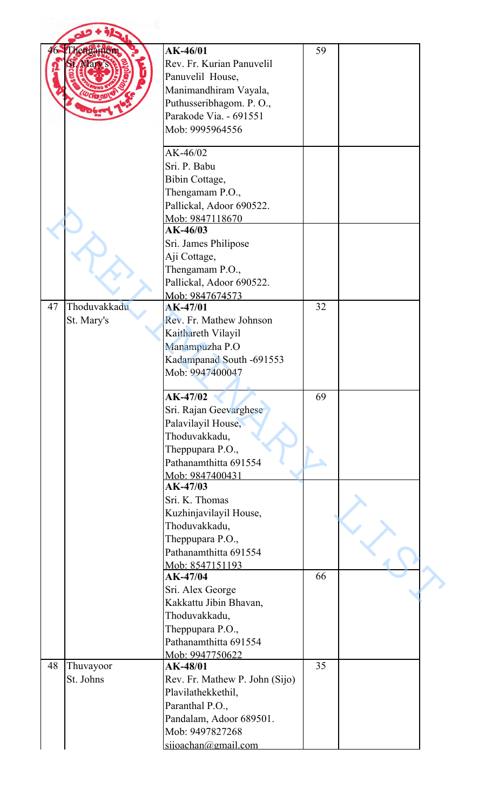|    | hengamom     | AK-46/01                       | 59 |  |
|----|--------------|--------------------------------|----|--|
|    |              | Rev. Fr. Kurian Panuvelil      |    |  |
|    |              |                                |    |  |
|    |              | Panuvelil House,               |    |  |
|    |              | Manimandhiram Vayala,          |    |  |
|    |              | Puthusseribhagom. P.O.,        |    |  |
|    |              | Parakode Via. - 691551         |    |  |
|    |              | Mob: 9995964556                |    |  |
|    |              | AK-46/02                       |    |  |
|    |              | Sri. P. Babu                   |    |  |
|    |              | Bibin Cottage,                 |    |  |
|    |              | Thengamam P.O.,                |    |  |
|    |              | Pallickal, Adoor 690522.       |    |  |
|    |              | Mob: 9847118670                |    |  |
|    |              | $AK-46/03$                     |    |  |
|    |              | Sri. James Philipose           |    |  |
|    |              | Aji Cottage,                   |    |  |
|    |              | Thengamam P.O.,                |    |  |
|    |              | Pallickal, Adoor 690522.       |    |  |
|    |              | Mob: 9847674573                |    |  |
| 47 | Thoduvakkadu | <b>AK-47/01</b>                | 32 |  |
|    | St. Mary's   | Rev. Fr. Mathew Johnson        |    |  |
|    |              | Kaithareth Vilayil             |    |  |
|    |              | Manampuzha P.O                 |    |  |
|    |              | Kadampanad South -691553       |    |  |
|    |              | Mob: 9947400047                |    |  |
|    |              |                                |    |  |
|    |              | $AK-47/02$                     | 69 |  |
|    |              | Sri. Rajan Geevarghese         |    |  |
|    |              | Palavilayil House,             |    |  |
|    |              | Thoduvakkadu,                  |    |  |
|    |              | Theppupara P.O.,               |    |  |
|    |              | Pathanamthitta 691554          |    |  |
|    |              | Mob: 9847400431                |    |  |
|    |              | AK-47/03                       |    |  |
|    |              | Sri. K. Thomas                 |    |  |
|    |              | Kuzhinjavilayil House,         |    |  |
|    |              | Thoduvakkadu,                  |    |  |
|    |              | Theppupara P.O.,               |    |  |
|    |              | Pathanamthitta 691554          |    |  |
|    |              |                                |    |  |
|    |              | Mob: 8547151193<br>AK-47/04    | 66 |  |
|    |              | Sri. Alex George               |    |  |
|    |              | Kakkattu Jibin Bhavan,         |    |  |
|    |              |                                |    |  |
|    |              | Thoduvakkadu,                  |    |  |
|    |              | Theppupara P.O.,               |    |  |
|    |              | Pathanamthitta 691554          |    |  |
|    |              | Mob: 9947750622                |    |  |
| 48 | Thuvayoor    | AK-48/01                       | 35 |  |
|    | St. Johns    | Rev. Fr. Mathew P. John (Sijo) |    |  |
|    |              | Plavilathekkethil,             |    |  |
|    |              | Paranthal P.O.,                |    |  |
|    |              | Pandalam, Adoor 689501.        |    |  |
|    |              | Mob: 9497827268                |    |  |
|    |              | sijoachan@gmail.com            |    |  |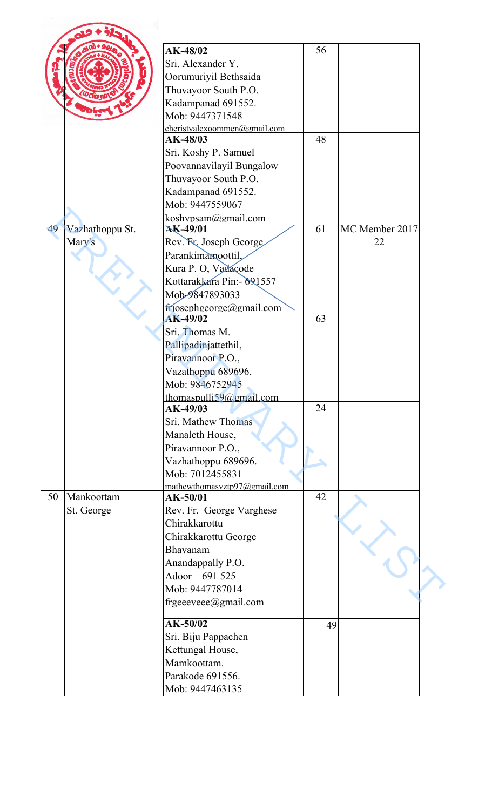|    |                 | AK-48/02                                      | 56 |                |
|----|-----------------|-----------------------------------------------|----|----------------|
|    |                 | Sri. Alexander Y.                             |    |                |
|    |                 | Oorumuriyil Bethsaida                         |    |                |
|    |                 |                                               |    |                |
|    |                 | Thuvayoor South P.O.                          |    |                |
|    |                 | Kadampanad 691552.                            |    |                |
|    |                 | Mob: 9447371548                               |    |                |
|    |                 | cheristyalexoommen@gmail.com                  |    |                |
|    |                 | AK-48/03                                      | 48 |                |
|    |                 | Sri. Koshy P. Samuel                          |    |                |
|    |                 | Poovannavilayil Bungalow                      |    |                |
|    |                 | Thuvayoor South P.O.                          |    |                |
|    |                 | Kadampanad 691552.                            |    |                |
|    |                 | Mob: 9447559067                               |    |                |
|    |                 | koshypsam@gmail.com                           |    |                |
| 49 | Vazhathoppu St. | <b>AK-49/01</b>                               | 61 | MC Member 2017 |
|    | Mary's          | Rev. Fr. Joseph George                        |    | 22             |
|    |                 | Parankimamoottil,                             |    |                |
|    |                 | Kura P. O, Vadaçode                           |    |                |
|    |                 | Kottarakkara Pin: - 691557                    |    |                |
|    |                 | Mob-9847893033                                |    |                |
|    |                 |                                               |    |                |
|    |                 | $f$ nosephgeorge@gmail.com<br><b>AK-49/02</b> | 63 |                |
|    |                 | Sri. Thomas M.                                |    |                |
|    |                 |                                               |    |                |
|    |                 | Pallipadinjattethil,                          |    |                |
|    |                 | Piravannoor P.O.,                             |    |                |
|    |                 | Vazathoppu 689696.                            |    |                |
|    |                 | Mob: 9846752945                               |    |                |
|    |                 | thomaspulli59@gmail.com                       |    |                |
|    |                 | AK-49/03                                      | 24 |                |
|    |                 | Sri. Mathew Thomas                            |    |                |
|    |                 | Manaleth House,                               |    |                |
|    |                 | Piravannoor P.O.,                             |    |                |
|    |                 | Vazhathoppu 689696.                           |    |                |
|    |                 | Mob: 7012455831                               |    |                |
|    |                 | mathewthomasvztp97@gmail.com                  |    |                |
| 50 | Mankoottam      | AK-50/01                                      | 42 |                |
|    | St. George      | Rev. Fr. George Varghese                      |    |                |
|    |                 | Chirakkarottu                                 |    |                |
|    |                 | Chirakkarottu George                          |    |                |
|    |                 | Bhavanam                                      |    |                |
|    |                 | Anandappally P.O.                             |    |                |
|    |                 | Adoor - 691 525                               |    |                |
|    |                 | Mob: 9447787014                               |    |                |
|    |                 |                                               |    |                |
|    |                 | frgeeeveee@gmail.com                          |    |                |
|    |                 | AK-50/02                                      | 49 |                |
|    |                 | Sri. Biju Pappachen                           |    |                |
|    |                 |                                               |    |                |
|    |                 | Kettungal House,                              |    |                |
|    |                 | Mamkoottam.                                   |    |                |
|    |                 | Parakode 691556.                              |    |                |
|    |                 | Mob: 9447463135                               |    |                |